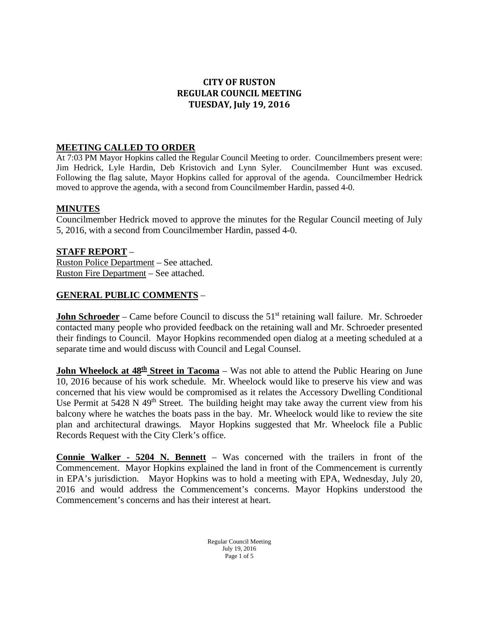# **CITY OF RUSTON REGULAR COUNCIL MEETING TUESDAY, July 19, 2016**

#### **MEETING CALLED TO ORDER**

At 7:03 PM Mayor Hopkins called the Regular Council Meeting to order. Councilmembers present were: Jim Hedrick, Lyle Hardin, Deb Kristovich and Lynn Syler. Councilmember Hunt was excused. Following the flag salute, Mayor Hopkins called for approval of the agenda. Councilmember Hedrick moved to approve the agenda, with a second from Councilmember Hardin, passed 4-0.

#### **MINUTES**

Councilmember Hedrick moved to approve the minutes for the Regular Council meeting of July 5, 2016, with a second from Councilmember Hardin, passed 4-0.

# **STAFF REPORT** –

Ruston Police Department – See attached. Ruston Fire Department – See attached.

#### **GENERAL PUBLIC COMMENTS** –

**John Schroeder** – Came before Council to discuss the 51<sup>st</sup> retaining wall failure. Mr. Schroeder contacted many people who provided feedback on the retaining wall and Mr. Schroeder presented their findings to Council. Mayor Hopkins recommended open dialog at a meeting scheduled at a separate time and would discuss with Council and Legal Counsel.

**John Wheelock at 48<sup>th</sup> Street in Tacoma** – Was not able to attend the Public Hearing on June 10, 2016 because of his work schedule. Mr. Wheelock would like to preserve his view and was concerned that his view would be compromised as it relates the Accessory Dwelling Conditional Use Permit at 5428 N 49<sup>th</sup> Street. The building height may take away the current view from his balcony where he watches the boats pass in the bay. Mr. Wheelock would like to review the site plan and architectural drawings. Mayor Hopkins suggested that Mr. Wheelock file a Public Records Request with the City Clerk's office.

**Connie Walker - 5204 N. Bennett** – Was concerned with the trailers in front of the Commencement. Mayor Hopkins explained the land in front of the Commencement is currently in EPA's jurisdiction. Mayor Hopkins was to hold a meeting with EPA, Wednesday, July 20, 2016 and would address the Commencement's concerns. Mayor Hopkins understood the Commencement's concerns and has their interest at heart.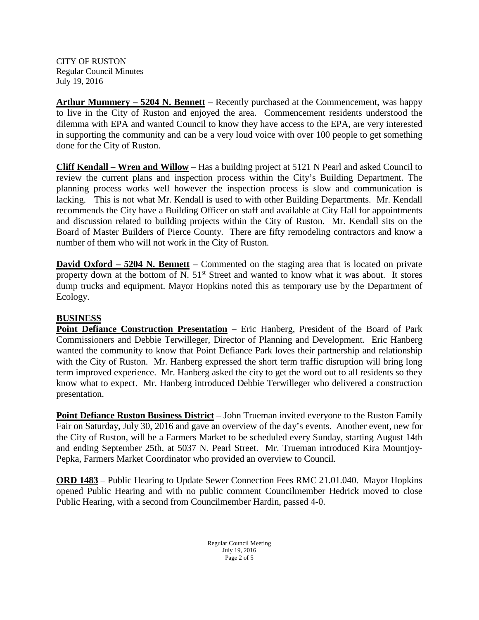**Arthur Mummery – 5204 N. Bennett** – Recently purchased at the Commencement, was happy to live in the City of Ruston and enjoyed the area. Commencement residents understood the dilemma with EPA and wanted Council to know they have access to the EPA, are very interested in supporting the community and can be a very loud voice with over 100 people to get something done for the City of Ruston.

**Cliff Kendall – Wren and Willow** – Has a building project at 5121 N Pearl and asked Council to review the current plans and inspection process within the City's Building Department. The planning process works well however the inspection process is slow and communication is lacking. This is not what Mr. Kendall is used to with other Building Departments. Mr. Kendall recommends the City have a Building Officer on staff and available at City Hall for appointments and discussion related to building projects within the City of Ruston. Mr. Kendall sits on the Board of Master Builders of Pierce County. There are fifty remodeling contractors and know a number of them who will not work in the City of Ruston.

**David Oxford – 5204 N. Bennett** – Commented on the staging area that is located on private property down at the bottom of N.  $51<sup>st</sup>$  Street and wanted to know what it was about. It stores dump trucks and equipment. Mayor Hopkins noted this as temporary use by the Department of Ecology.

# **BUSINESS**

**Point Defiance Construction Presentation** – Eric Hanberg, President of the Board of Park Commissioners and Debbie Terwilleger, Director of Planning and Development. Eric Hanberg wanted the community to know that Point Defiance Park loves their partnership and relationship with the City of Ruston. Mr. Hanberg expressed the short term traffic disruption will bring long term improved experience. Mr. Hanberg asked the city to get the word out to all residents so they know what to expect. Mr. Hanberg introduced Debbie Terwilleger who delivered a construction presentation.

**Point Defiance Ruston Business District** – John Trueman invited everyone to the Ruston Family Fair on Saturday, July 30, 2016 and gave an overview of the day's events. Another event, new for the City of Ruston, will be a Farmers Market to be scheduled every Sunday, starting August 14th and ending September 25th, at 5037 N. Pearl Street. Mr. Trueman introduced Kira Mountjoy-Pepka, Farmers Market Coordinator who provided an overview to Council.

**ORD 1483** – Public Hearing to Update Sewer Connection Fees RMC 21.01.040. Mayor Hopkins opened Public Hearing and with no public comment Councilmember Hedrick moved to close Public Hearing, with a second from Councilmember Hardin, passed 4-0.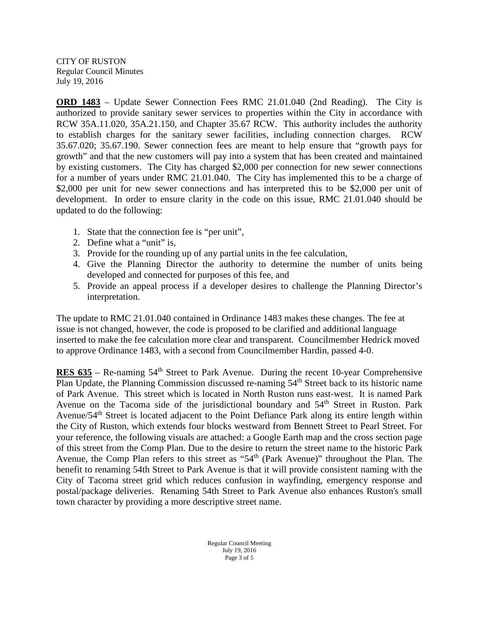**ORD 1483** – Update Sewer Connection Fees RMC 21.01.040 (2nd Reading). The City is authorized to provide sanitary sewer services to properties within the City in accordance with RCW 35A.11.020, 35A.21.150, and Chapter 35.67 RCW. This authority includes the authority to establish charges for the sanitary sewer facilities, including connection charges. RCW 35.67.020; 35.67.190. Sewer connection fees are meant to help ensure that "growth pays for growth" and that the new customers will pay into a system that has been created and maintained by existing customers. The City has charged \$2,000 per connection for new sewer connections for a number of years under RMC 21.01.040. The City has implemented this to be a charge of \$2,000 per unit for new sewer connections and has interpreted this to be \$2,000 per unit of development. In order to ensure clarity in the code on this issue, RMC 21.01.040 should be updated to do the following:

- 1. State that the connection fee is "per unit",
- 2. Define what a "unit" is,
- 3. Provide for the rounding up of any partial units in the fee calculation,
- 4. Give the Planning Director the authority to determine the number of units being developed and connected for purposes of this fee, and
- 5. Provide an appeal process if a developer desires to challenge the Planning Director's interpretation.

The update to RMC 21.01.040 contained in Ordinance 1483 makes these changes. The fee at issue is not changed, however, the code is proposed to be clarified and additional language inserted to make the fee calculation more clear and transparent. Councilmember Hedrick moved to approve Ordinance 1483, with a second from Councilmember Hardin, passed 4-0.

**RES 635** – Re-naming 54<sup>th</sup> Street to Park Avenue. During the recent 10-year Comprehensive Plan Update, the Planning Commission discussed re-naming  $54<sup>th</sup>$  Street back to its historic name of Park Avenue. This street which is located in North Ruston runs east-west. It is named Park Avenue on the Tacoma side of the jurisdictional boundary and 54<sup>th</sup> Street in Ruston. Park Avenue/54<sup>th</sup> Street is located adjacent to the Point Defiance Park along its entire length within the City of Ruston, which extends four blocks westward from Bennett Street to Pearl Street. For your reference, the following visuals are attached: a Google Earth map and the cross section page of this street from the Comp Plan. Due to the desire to return the street name to the historic Park Avenue, the Comp Plan refers to this street as "54<sup>th</sup> (Park Avenue)" throughout the Plan. The benefit to renaming 54th Street to Park Avenue is that it will provide consistent naming with the City of Tacoma street grid which reduces confusion in wayfinding, emergency response and postal/package deliveries. Renaming 54th Street to Park Avenue also enhances Ruston's small town character by providing a more descriptive street name.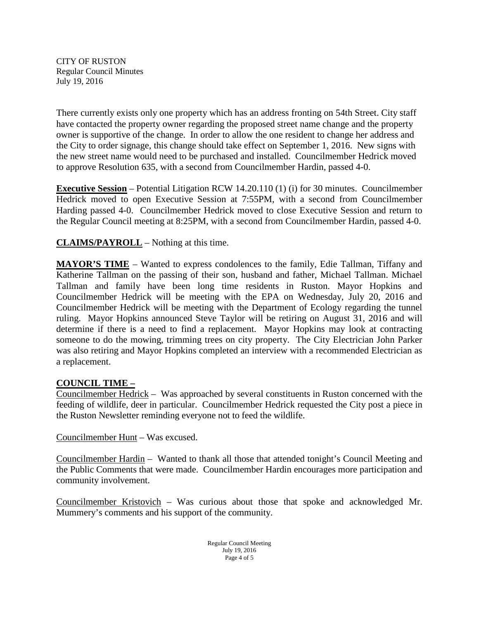There currently exists only one property which has an address fronting on 54th Street. City staff have contacted the property owner regarding the proposed street name change and the property owner is supportive of the change. In order to allow the one resident to change her address and the City to order signage, this change should take effect on September 1, 2016. New signs with the new street name would need to be purchased and installed. Councilmember Hedrick moved to approve Resolution 635, with a second from Councilmember Hardin, passed 4-0.

**Executive Session** – Potential Litigation RCW 14.20.110 (1) (i) for 30 minutes. Councilmember Hedrick moved to open Executive Session at 7:55PM, with a second from Councilmember Harding passed 4-0. Councilmember Hedrick moved to close Executive Session and return to the Regular Council meeting at 8:25PM, with a second from Councilmember Hardin, passed 4-0.

**CLAIMS/PAYROLL** – Nothing at this time.

**MAYOR'S TIME** – Wanted to express condolences to the family, Edie Tallman, Tiffany and Katherine Tallman on the passing of their son, husband and father, Michael Tallman. Michael Tallman and family have been long time residents in Ruston. Mayor Hopkins and Councilmember Hedrick will be meeting with the EPA on Wednesday, July 20, 2016 and Councilmember Hedrick will be meeting with the Department of Ecology regarding the tunnel ruling. Mayor Hopkins announced Steve Taylor will be retiring on August 31, 2016 and will determine if there is a need to find a replacement. Mayor Hopkins may look at contracting someone to do the mowing, trimming trees on city property. The City Electrician John Parker was also retiring and Mayor Hopkins completed an interview with a recommended Electrician as a replacement.

# **COUNCIL TIME –**

Councilmember Hedrick – Was approached by several constituents in Ruston concerned with the feeding of wildlife, deer in particular. Councilmember Hedrick requested the City post a piece in the Ruston Newsletter reminding everyone not to feed the wildlife.

Councilmember Hunt – Was excused.

Councilmember Hardin – Wanted to thank all those that attended tonight's Council Meeting and the Public Comments that were made. Councilmember Hardin encourages more participation and community involvement.

Councilmember Kristovich – Was curious about those that spoke and acknowledged Mr. Mummery's comments and his support of the community.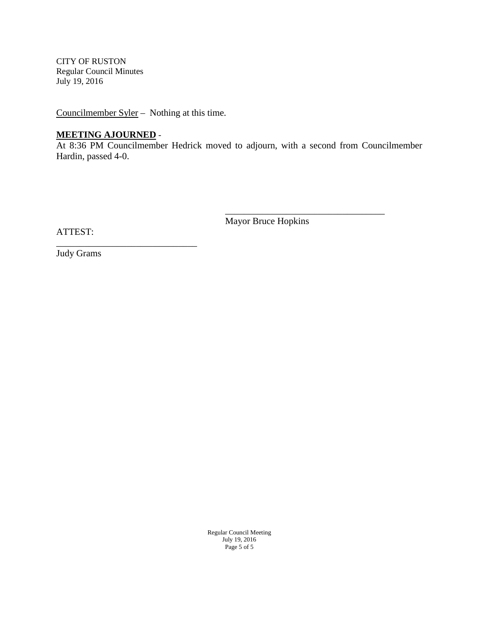Councilmember Syler – Nothing at this time.

# **MEETING AJOURNED** -

\_\_\_\_\_\_\_\_\_\_\_\_\_\_\_\_\_\_\_\_\_\_\_\_\_\_\_\_\_\_

At 8:36 PM Councilmember Hedrick moved to adjourn, with a second from Councilmember Hardin, passed 4-0.

Mayor Bruce Hopkins

\_\_\_\_\_\_\_\_\_\_\_\_\_\_\_\_\_\_\_\_\_\_\_\_\_\_\_\_\_\_\_\_\_\_

ATTEST:

Judy Grams

Regular Council Meeting July 19, 2016 Page 5 of 5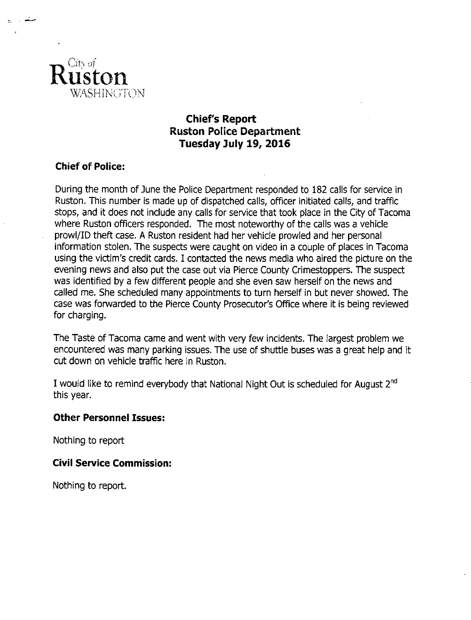

# **Chief's Report Ruston Police Department** Tuesday July 19, 2016

# **Chief of Police:**

During the month of June the Police Department responded to 182 calls for service in Ruston. This number is made up of dispatched calls, officer initiated calls, and traffic stops, and it does not include any calls for service that took place in the City of Tacoma where Ruston officers responded. The most noteworthy of the calls was a vehicle prowl/ID theft case. A Ruston resident had her vehicle prowled and her personal information stolen. The suspects were caught on video in a couple of places in Tacoma using the victim's credit cards. I contacted the news media who aired the picture on the evening news and also put the case out via Pierce County Crimestoppers. The suspect was identified by a few different people and she even saw herself on the news and called me. She scheduled many appointments to turn herself in but never showed. The case was forwarded to the Pierce County Prosecutor's Office where it is being reviewed for charging.

The Taste of Tacoma came and went with very few incidents. The largest problem we encountered was many parking issues. The use of shuttle buses was a great help and it cut down on vehicle traffic here in Ruston.

I would like to remind everybody that National Night Out is scheduled for August 2<sup>nd</sup> this year.

# **Other Personnel Issues:**

Nothing to report

# **Civil Service Commission:**

Nothing to report.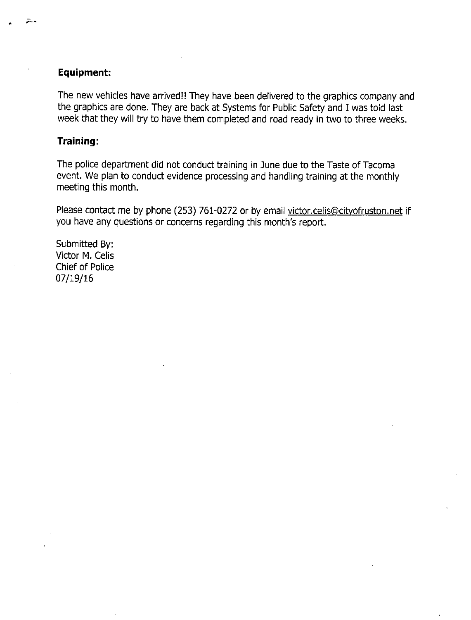#### Equipment:

The new vehicles have arrived!! They have been delivered to the graphics company and the graphics are done. They are back at Systems for Public Safety and I was told last week that they will try to have them completed and road ready in two to three weeks.

#### Training:

The police department did not conduct training in June due to the Taste of Tacoma event. We plan to conduct evidence processing and handling training at the monthly meeting this month.

Please contact me by phone (253) 761-0272 or by email victor.celis@cityofruston.net if you have any questions or concerns regarding this month's report.

Submitted By: Victor M. Celis Chief of Police 07/19/16